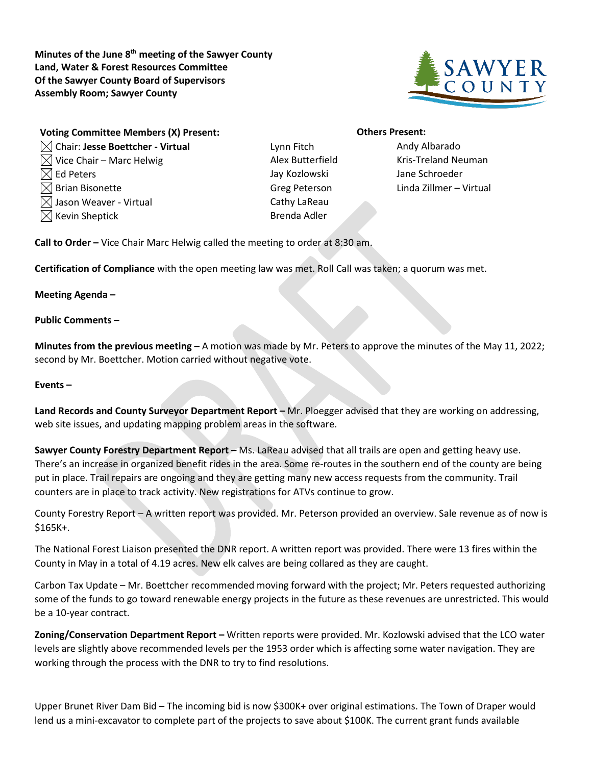**Minutes of the June 8th meeting of the Sawyer County Land, Water & Forest Resources Committee Of the Sawyer County Board of Supervisors Assembly Room; Sawyer County**



| <b>Voting Committee Members (X) Present:</b> |
|----------------------------------------------|
| $\boxtimes$ Chair: Jesse Boettcher - Virtual |
| $\boxtimes$ Vice Chair – Marc Helwig         |
| $\boxtimes$ Ed Peters                        |
| $\boxtimes$ Brian Bisonette                  |
| $\boxtimes$ Jason Weaver - Virtual           |
| $[$ Kevin Sheptick                           |

Chair: **Jesse Boettcher - Virtual** Lynn Fitch Andy Albarado Jay Kozlowski Jane Schroeder Cathy LaReau Brenda Adler

## **Others Present:**

Alex Butterfield Kris-Treland Neuman Greg Peterson Linda Zillmer – Virtual

**Call to Order –** Vice Chair Marc Helwig called the meeting to order at 8:30 am.

**Certification of Compliance** with the open meeting law was met. Roll Call was taken; a quorum was met.

**Meeting Agenda –**

**Public Comments –**

**Minutes from the previous meeting –** A motion was made by Mr. Peters to approve the minutes of the May 11, 2022; second by Mr. Boettcher. Motion carried without negative vote.

## **Events –**

**Land Records and County Surveyor Department Report –** Mr. Ploegger advised that they are working on addressing, web site issues, and updating mapping problem areas in the software.

**Sawyer County Forestry Department Report –** Ms. LaReau advised that all trails are open and getting heavy use. There's an increase in organized benefit rides in the area. Some re-routes in the southern end of the county are being put in place. Trail repairs are ongoing and they are getting many new access requests from the community. Trail counters are in place to track activity. New registrations for ATVs continue to grow.

County Forestry Report – A written report was provided. Mr. Peterson provided an overview. Sale revenue as of now is \$165K+.

The National Forest Liaison presented the DNR report. A written report was provided. There were 13 fires within the County in May in a total of 4.19 acres. New elk calves are being collared as they are caught.

Carbon Tax Update – Mr. Boettcher recommended moving forward with the project; Mr. Peters requested authorizing some of the funds to go toward renewable energy projects in the future as these revenues are unrestricted. This would be a 10-year contract.

**Zoning/Conservation Department Report –** Written reports were provided. Mr. Kozlowski advised that the LCO water levels are slightly above recommended levels per the 1953 order which is affecting some water navigation. They are working through the process with the DNR to try to find resolutions.

Upper Brunet River Dam Bid – The incoming bid is now \$300K+ over original estimations. The Town of Draper would lend us a mini-excavator to complete part of the projects to save about \$100K. The current grant funds available